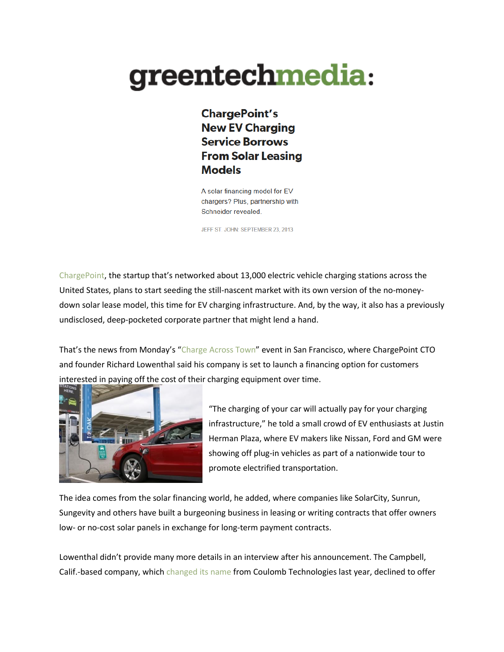## greentechmedia:

**ChargePoint's New EV Charging Service Borrows From Solar Leasing Models** 

A solar financing model for EV chargers? Plus, partnership with Schneider revealed.

JEFF ST. JOHN: SEPTEMBER 23, 2013

[ChargePoint](http://www.chargepoint.com/), the startup that's networked about 13,000 electric vehicle charging stations across the United States, plans to start seeding the still-nascent market with its own version of the no-moneydown solar lease model, this time for EV charging infrastructure. And, by the way, it also has a previously undisclosed, deep-pocketed corporate partner that might lend a hand.

That's the news from Monday's "[Charge](http://www.chargeacrosstown.com/ev-week-silicon-valley/) Across Town" event in San Francisco, where ChargePoint CTO and founder Richard Lowenthal said his company is set to launch a financing option for customers interested in paying off the cost of their charging equipment over time.



"The charging of your car will actually pay for your charging infrastructure," he told a small crowd of EV enthusiasts at Justin Herman Plaza, where EV makers like Nissan, Ford and GM were showing off plug-in vehicles as part of a nationwide tour to promote electrified transportation.

The idea comes from the solar financing world, he added, where companies like SolarCity, Sunrun, Sungevity and others have built a burgeoning business in leasing or writing contracts that offer owners low- or no-cost solar panels in exchange for long-term payment contracts.

Lowenthal didn't provide many more details in an interview after his announcement. The Campbell, Calif.-based company, which [changed](http://www.chargepoint.com/blog/?p=2998) its name from Coulomb Technologies last year, declined to offer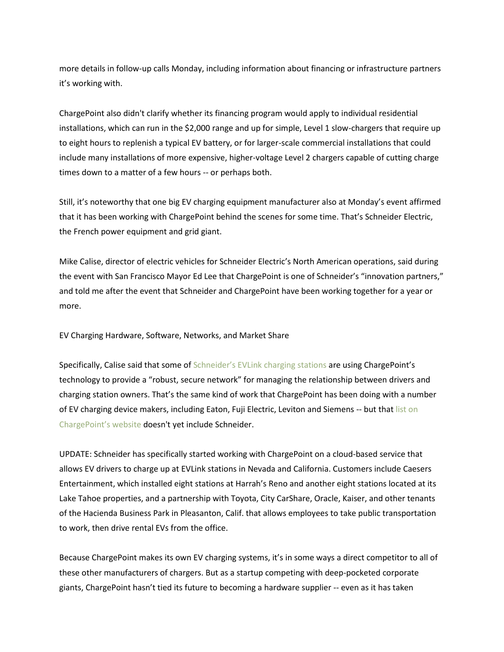more details in follow-up calls Monday, including information about financing or infrastructure partners it's working with.

ChargePoint also didn't clarify whether its financing program would apply to individual residential installations, which can run in the \$2,000 range and up for simple, Level 1 slow-chargers that require up to eight hours to replenish a typical EV battery, or for larger-scale commercial installations that could include many installations of more expensive, higher-voltage Level 2 chargers capable of cutting charge times down to a matter of a few hours -- or perhaps both.

Still, it's noteworthy that one big EV charging equipment manufacturer also at Monday's event affirmed that it has been working with ChargePoint behind the scenes for some time. That's Schneider Electric, the French power equipment and grid giant.

Mike Calise, director of electric vehicles for Schneider Electric's North American operations, said during the event with San Francisco Mayor Ed Lee that ChargePoint is one of Schneider's "innovation partners," and told me after the event that Schneider and ChargePoint have been working together for a year or more.

EV Charging Hardware, Software, Networks, and Market Share

Specifically, Calise said that some of [Schneider's](http://www.schneider-electric.com/sites/corporate/en/products-services/product-launch/electric-vehicle/evlink-ev-charging-station.page) EVLink charging stations are using ChargePoint's technology to provide a "robust, secure network" for managing the relationship between drivers and charging station owners. That's the same kind of work that ChargePoint has been doing with a number of EV charging device makers, including Eaton, Fuji Electric, Leviton and Siemens -- but tha[t list](http://www.chargepoint.com/ecosystem-partners.php) on [ChargePoint's](http://www.chargepoint.com/ecosystem-partners.php) website doesn't yet include Schneider.

UPDATE: Schneider has specifically started working with ChargePoint on a cloud-based service that allows EV drivers to charge up at EVLink stations in Nevada and California. Customers include Caesers Entertainment, which installed eight stations at Harrah's Reno and another eight stations located at its Lake Tahoe properties, and a partnership with Toyota, City CarShare, Oracle, Kaiser, and other tenants of the Hacienda Business Park in Pleasanton, Calif. that allows employees to take public transportation to work, then drive rental EVs from the office.

Because ChargePoint makes its own EV charging systems, it's in some ways a direct competitor to all of these other manufacturers of chargers. But as a startup competing with deep-pocketed corporate giants, ChargePoint hasn't tied its future to becoming a hardware supplier -- even as it has taken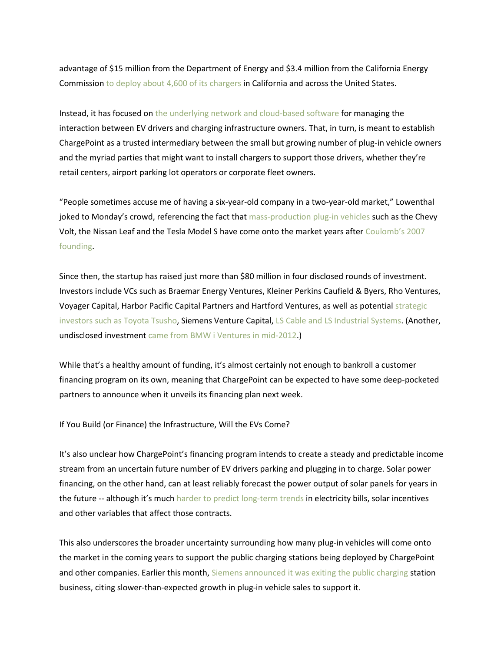advantage of \$15 million from the Department of Energy and \$3.4 million from the California Energy Commission to deploy about 4,600 of its [chargers](http://www.greentechmedia.com/articles/read/3-years-and-4600-electric-car-charging-points-later) in California and across the United States.

Instead, it has focused on the underlying network and [cloud-based](http://www.greentechmedia.com/articles/read/coulomb-raises-47.5m-to-rev-up-plug-in-charging-network) software for managing the interaction between EV drivers and charging infrastructure owners. That, in turn, is meant to establish ChargePoint as a trusted intermediary between the small but growing number of plug-in vehicle owners and the myriad parties that might want to install chargers to support those drivers, whether they're retail centers, airport parking lot operators or corporate fleet owners.

"People sometimes accuse me of having a six-year-old company in a two-year-old market," Lowenthal joked to Monday's crowd, referencing the fact that [mass-production](http://www.usatoday.com/story/money/cars/2013/05/01/chevrolet-volt-nissan-leaf-tesla-sales/2127371/) plug-in vehicles such as the Chevy Volt, the Nissan Leaf and the Tesla Model S have come onto the market years after [Coulomb's](http://www.chargepoint.com/about-management.php) 2007 [founding.](http://www.chargepoint.com/about-management.php)

Since then, the startup has raised just more than \$80 million in four disclosed rounds of investment. Investors include VCs such as Braemar Energy Ventures, Kleiner Perkins Caufield & Byers, Rho Ventures, Voyager Capital, Harbor Pacific Capital Partners and Hartford Ventures, as well as potential [strategic](http://www.greentechmedia.com/articles/read/coulomb-raises-47.5m-to-rev-up-plug-in-charging-network) [investors](http://www.greentechmedia.com/articles/read/coulomb-raises-47.5m-to-rev-up-plug-in-charging-network) such as Toyota Tsusho, Siemens Venture Capital, LS Cable and LS [Industrial](http://www.greentechmedia.com/articles/read/coulomb-raises-15m-in-3rd-round-funding/%20.) Systems. (Another, undisclosed investment came from BMW i Ventures in [mid-2012.](http://green.autoblog.com/2012/07/24/bmw-i-ventures-invests-in-coulomb-chargepoint-4-0-coming-soon/))

While that's a healthy amount of funding, it's almost certainly not enough to bankroll a customer financing program on its own, meaning that ChargePoint can be expected to have some deep-pocketed partners to announce when it unveils its financing plan next week.

If You Build (or Finance) the Infrastructure, Will the EVs Come?

It's also unclear how ChargePoint's financing program intends to create a steady and predictable income stream from an uncertain future number of EV drivers parking and plugging in to charge. Solar power financing, on the other hand, can at least reliably forecast the power output of solar panels for years in the future -- although it's much harder to predict [long-term](http://www.greentechmedia.com/articles/read/ab-327-the-dark-side-for-california-solar) trends in electricity bills, solar incentives and other variables that affect those contracts.

This also underscores the broader uncertainty surrounding how many plug-in vehicles will come onto the market in the coming years to support the public charging stations being deployed by ChargePoint and other companies. Earlier this month, Siemens [announced](http://www.greentechmedia.com/articles/read/siemens-ditches-public-ev-charging-business) it was exiting the public charging station business, citing slower-than-expected growth in plug-in vehicle sales to support it.